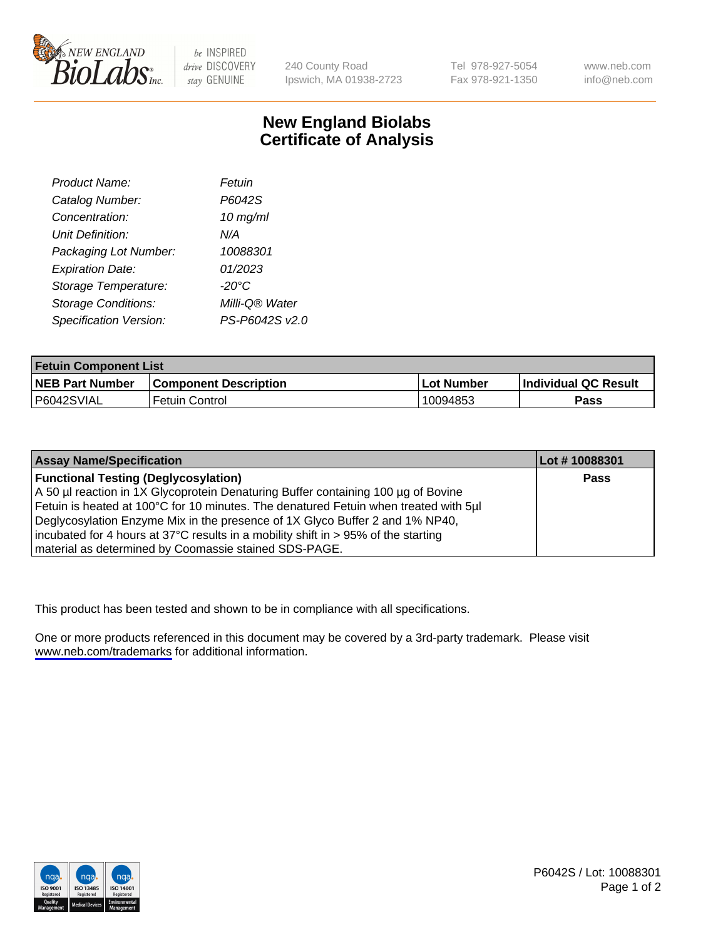

be INSPIRED drive DISCOVERY stay GENUINE

240 County Road Ipswich, MA 01938-2723 Tel 978-927-5054 Fax 978-921-1350

www.neb.com info@neb.com

## **New England Biolabs Certificate of Analysis**

| Product Name:              | Fetuin         |
|----------------------------|----------------|
| Catalog Number:            | P6042S         |
| Concentration:             | $10$ mg/ml     |
| <b>Unit Definition:</b>    | N/A            |
| Packaging Lot Number:      | 10088301       |
| <b>Expiration Date:</b>    | 01/2023        |
| Storage Temperature:       | -20°C          |
| <b>Storage Conditions:</b> | Milli-Q® Water |
| Specification Version:     | PS-P6042S v2.0 |

| <b>Fetuin Component List</b> |                              |            |                             |  |
|------------------------------|------------------------------|------------|-----------------------------|--|
| <b>NEB Part Number</b>       | <b>Component Description</b> | Lot Number | <b>Individual QC Result</b> |  |
| P6042SVIAL                   | Fetuin Control               | 10094853   | <b>Pass</b>                 |  |

| <b>Assay Name/Specification</b>                                                      | Lot #10088301 |
|--------------------------------------------------------------------------------------|---------------|
| <b>Functional Testing (Deglycosylation)</b>                                          | <b>Pass</b>   |
| A 50 µl reaction in 1X Glycoprotein Denaturing Buffer containing 100 µg of Bovine    |               |
| Fetuin is heated at 100°C for 10 minutes. The denatured Fetuin when treated with 5µl |               |
| Deglycosylation Enzyme Mix in the presence of 1X Glyco Buffer 2 and 1% NP40,         |               |
| incubated for 4 hours at 37°C results in a mobility shift in > 95% of the starting   |               |
| material as determined by Coomassie stained SDS-PAGE.                                |               |

This product has been tested and shown to be in compliance with all specifications.

One or more products referenced in this document may be covered by a 3rd-party trademark. Please visit <www.neb.com/trademarks>for additional information.